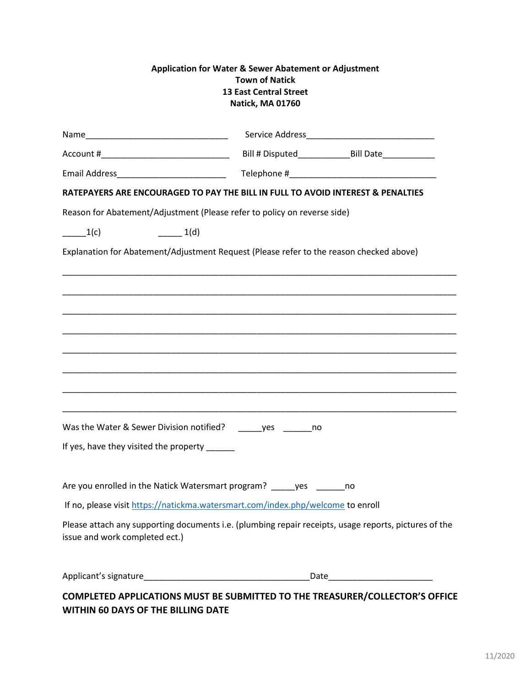| Application for Water & Sewer Abatement or Adjustment<br><b>Town of Natick</b><br><b>13 East Central Street</b><br>Natick, MA 01760 |                                                                                                       |
|-------------------------------------------------------------------------------------------------------------------------------------|-------------------------------------------------------------------------------------------------------|
|                                                                                                                                     |                                                                                                       |
|                                                                                                                                     |                                                                                                       |
| Email Address_____________________________                                                                                          |                                                                                                       |
|                                                                                                                                     | RATEPAYERS ARE ENCOURAGED TO PAY THE BILL IN FULL TO AVOID INTEREST & PENALTIES                       |
| Reason for Abatement/Adjustment (Please refer to policy on reverse side)                                                            |                                                                                                       |
| $\frac{1}{c}$<br>1(d)                                                                                                               |                                                                                                       |
|                                                                                                                                     | Explanation for Abatement/Adjustment Request (Please refer to the reason checked above)               |
|                                                                                                                                     |                                                                                                       |
|                                                                                                                                     |                                                                                                       |
|                                                                                                                                     |                                                                                                       |
|                                                                                                                                     |                                                                                                       |
|                                                                                                                                     |                                                                                                       |
|                                                                                                                                     |                                                                                                       |
|                                                                                                                                     |                                                                                                       |
|                                                                                                                                     |                                                                                                       |
| Was the Water & Sewer Division notified?                                                                                            | <b>Ves</b><br>no                                                                                      |
| If yes, have they visited the property _____                                                                                        |                                                                                                       |
|                                                                                                                                     |                                                                                                       |
| Are you enrolled in the Natick Watersmart program? _____ yes _______ no                                                             |                                                                                                       |
|                                                                                                                                     | If no, please visit https://natickma.watersmart.com/index.php/welcome to enroll                       |
| issue and work completed ect.)                                                                                                      | Please attach any supporting documents i.e. (plumbing repair receipts, usage reports, pictures of the |
|                                                                                                                                     |                                                                                                       |
|                                                                                                                                     | COMPLETED APPLICATIONS MUST BE SUBMITTED TO THE TREASURER/COLLECTOR'S OFFICE                          |

## **WITHIN 60 DAYS OF THE BILLING DATE**